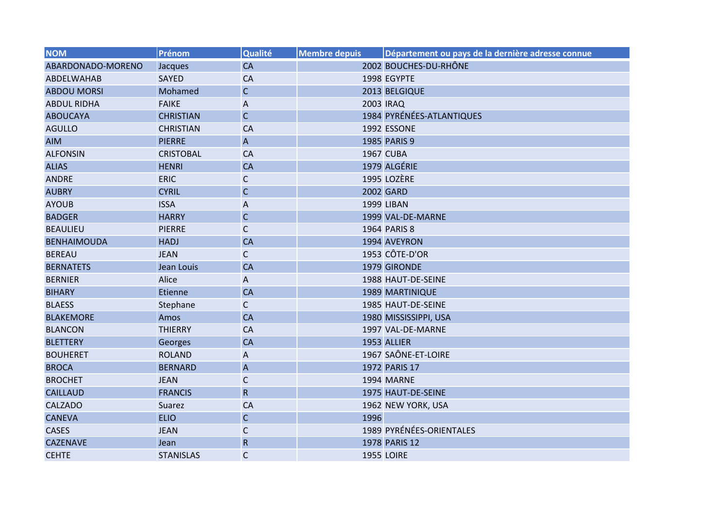| <b>NOM</b>         | Prénom           | Qualité                   | <b>Membre depuis</b> | Département ou pays de la dernière adresse connue |
|--------------------|------------------|---------------------------|----------------------|---------------------------------------------------|
| ABARDONADO-MORENO  | Jacques          | <b>CA</b>                 |                      | 2002 BOUCHES-DU-RHÔNE                             |
| <b>ABDELWAHAB</b>  | <b>SAYED</b>     | CA                        |                      | 1998 EGYPTE                                       |
| <b>ABDOU MORSI</b> | Mohamed          | $\mathsf C$               |                      | 2013 BELGIQUE                                     |
| <b>ABDUL RIDHA</b> | <b>FAIKE</b>     | A                         |                      | 2003 IRAQ                                         |
| <b>ABOUCAYA</b>    | <b>CHRISTIAN</b> | $\mathsf{C}$              |                      | 1984 PYRÉNÉES-ATLANTIQUES                         |
| <b>AGULLO</b>      | <b>CHRISTIAN</b> | CA                        |                      | 1992 ESSONE                                       |
| <b>AIM</b>         | <b>PIERRE</b>    | $\overline{A}$            |                      | 1985 PARIS 9                                      |
| <b>ALFONSIN</b>    | <b>CRISTOBAL</b> | CA                        |                      | <b>1967 CUBA</b>                                  |
| <b>ALIAS</b>       | <b>HENRI</b>     | <b>CA</b>                 |                      | 1979 ALGÉRIE                                      |
| <b>ANDRE</b>       | <b>ERIC</b>      | $\mathsf{C}$              |                      | 1995 LOZÈRE                                       |
| <b>AUBRY</b>       | <b>CYRIL</b>     | $\mathsf C$               |                      | 2002 GARD                                         |
| <b>AYOUB</b>       | <b>ISSA</b>      | A                         |                      | <b>1999 LIBAN</b>                                 |
| <b>BADGER</b>      | <b>HARRY</b>     | $\mathsf C$               |                      | 1999 VAL-DE-MARNE                                 |
| <b>BEAULIEU</b>    | <b>PIERRE</b>    | $\mathsf C$               |                      | 1964 PARIS 8                                      |
| <b>BENHAIMOUDA</b> | <b>HADJ</b>      | CA                        |                      | 1994 AVEYRON                                      |
| <b>BEREAU</b>      | <b>JEAN</b>      | $\mathsf C$               |                      | 1953 CÔTE-D'OR                                    |
| <b>BERNATETS</b>   | Jean Louis       | CA                        |                      | 1979 GIRONDE                                      |
| <b>BERNIER</b>     | Alice            | A                         |                      | 1988 HAUT-DE-SEINE                                |
| <b>BIHARY</b>      | Etienne          | <b>CA</b>                 |                      | <b>1989 MARTINIQUE</b>                            |
| <b>BLAESS</b>      | Stephane         | $\mathsf{C}$              |                      | 1985 HAUT-DE-SEINE                                |
| <b>BLAKEMORE</b>   | Amos             | <b>CA</b>                 |                      | 1980 MISSISSIPPI, USA                             |
| <b>BLANCON</b>     | <b>THIERRY</b>   | <b>CA</b>                 |                      | 1997 VAL-DE-MARNE                                 |
| <b>BLETTERY</b>    | Georges          | <b>CA</b>                 |                      | 1953 ALLIER                                       |
| <b>BOUHERET</b>    | <b>ROLAND</b>    | $\mathsf A$               |                      | 1967 SAÔNE-ET-LOIRE                               |
| <b>BROCA</b>       | <b>BERNARD</b>   | $\boldsymbol{\mathsf{A}}$ |                      | 1972 PARIS 17                                     |
| <b>BROCHET</b>     | <b>JEAN</b>      | $\mathsf C$               |                      | 1994 MARNE                                        |
| <b>CAILLAUD</b>    | <b>FRANCIS</b>   | ${\sf R}$                 |                      | 1975 HAUT-DE-SEINE                                |
| <b>CALZADO</b>     | Suarez           | CA                        |                      | 1962 NEW YORK, USA                                |
| <b>CANEVA</b>      | <b>ELIO</b>      | $\mathsf C$               | 1996                 |                                                   |
| <b>CASES</b>       | <b>JEAN</b>      | C                         |                      | 1989 PYRÉNÉES-ORIENTALES                          |
| <b>CAZENAVE</b>    | Jean             | ${\sf R}$                 |                      | 1978 PARIS 12                                     |
| <b>CEHTE</b>       | <b>STANISLAS</b> | $\mathsf{C}$              |                      | <b>1955 LOIRE</b>                                 |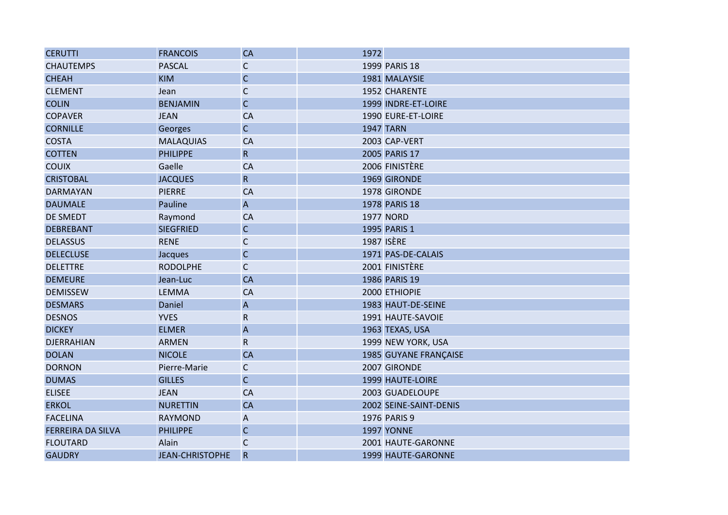| <b>CERUTTI</b>           | <b>FRANCOIS</b>        | <b>CA</b>                 | 1972 |                              |
|--------------------------|------------------------|---------------------------|------|------------------------------|
| <b>CHAUTEMPS</b>         | <b>PASCAL</b>          | $\mathsf{C}$              |      | 1999 PARIS 18                |
| <b>CHEAH</b>             | <b>KIM</b>             | $\mathsf{C}$              |      | 1981 MALAYSIE                |
| <b>CLEMENT</b>           | Jean                   | $\mathsf{C}$              |      | 1952 CHARENTE                |
| <b>COLIN</b>             | <b>BENJAMIN</b>        | $\mathsf C$               |      | 1999 INDRE-ET-LOIRE          |
| <b>COPAVER</b>           | <b>JEAN</b>            | <b>CA</b>                 |      | 1990 EURE-ET-LOIRE           |
| <b>CORNILLE</b>          | <b>Georges</b>         | $\mathsf{C}$              |      | <b>1947 TARN</b>             |
| <b>COSTA</b>             | <b>MALAQUIAS</b>       | CA                        |      | 2003 CAP-VERT                |
| <b>COTTEN</b>            | <b>PHILIPPE</b>        | $\mathsf{R}$              |      | 2005 PARIS 17                |
| <b>COUIX</b>             | Gaelle                 | <b>CA</b>                 |      | 2006 FINISTÈRE               |
| <b>CRISTOBAL</b>         | <b>JACQUES</b>         | $\overline{\mathsf{R}}$   |      | 1969 GIRONDE                 |
| <b>DARMAYAN</b>          | <b>PIERRE</b>          | CA                        |      | 1978 GIRONDE                 |
| <b>DAUMALE</b>           | Pauline                | $\overline{A}$            |      | 1978 PARIS 18                |
| <b>DE SMEDT</b>          | Raymond                | CA                        |      | <b>1977 NORD</b>             |
| <b>DEBREBANT</b>         | <b>SIEGFRIED</b>       | $\mathsf C$               |      | 1995 PARIS 1                 |
| <b>DELASSUS</b>          | <b>RENE</b>            | C                         |      | <b>1987 ISÈRE</b>            |
| <b>DELECLUSE</b>         | <b>Jacques</b>         | $\mathsf{C}$              |      | 1971 PAS-DE-CALAIS           |
| <b>DELETTRE</b>          | <b>RODOLPHE</b>        | $\mathsf{C}$              |      | 2001 FINISTÈRE               |
| <b>DEMEURE</b>           | Jean-Luc               | <b>CA</b>                 |      | 1986 PARIS 19                |
| <b>DEMISSEW</b>          | <b>LEMMA</b>           | CA                        |      | 2000 ETHIOPIE                |
| <b>DESMARS</b>           | Daniel                 | $\boldsymbol{\mathsf{A}}$ |      | 1983 HAUT-DE-SEINE           |
| <b>DESNOS</b>            | <b>YVES</b>            | ${\sf R}$                 |      | 1991 HAUTE-SAVOIE            |
| <b>DICKEY</b>            | <b>ELMER</b>           | $\mathsf A$               |      | 1963 TEXAS, USA              |
| <b>DJERRAHIAN</b>        | <b>ARMEN</b>           | $\mathsf{R}$              |      | 1999 NEW YORK, USA           |
| <b>DOLAN</b>             | <b>NICOLE</b>          | <b>CA</b>                 |      | <b>1985 GUYANE FRANÇAISE</b> |
| <b>DORNON</b>            | Pierre-Marie           | $\mathsf{C}$              |      | 2007 GIRONDE                 |
| <b>DUMAS</b>             | <b>GILLES</b>          | $\mathsf{C}$              |      | 1999 HAUTE-LOIRE             |
| <b>ELISEE</b>            | <b>JEAN</b>            | <b>CA</b>                 |      | 2003 GUADELOUPE              |
| <b>ERKOL</b>             | <b>NURETTIN</b>        | <b>CA</b>                 |      | 2002 SEINE-SAINT-DENIS       |
| <b>FACELINA</b>          | <b>RAYMOND</b>         | A                         |      | 1976 PARIS 9                 |
| <b>FERREIRA DA SILVA</b> | <b>PHILIPPE</b>        | $\mathsf{C}$              |      | <b>1997 YONNE</b>            |
| <b>FLOUTARD</b>          | Alain                  | $\mathsf{C}$              |      | 2001 HAUTE-GARONNE           |
| <b>GAUDRY</b>            | <b>JEAN-CHRISTOPHE</b> | $\mathsf{R}$              |      | 1999 HAUTE-GARONNE           |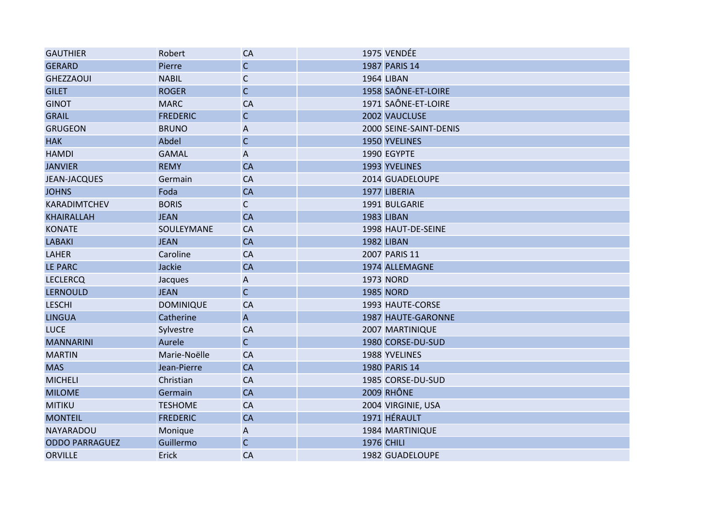| <b>GAUTHIER</b>       | Robert           | <b>CA</b>                 | 1975 VENDÉE            |
|-----------------------|------------------|---------------------------|------------------------|
| <b>GERARD</b>         | Pierre           | $\mathsf C$               | 1987 PARIS 14          |
| <b>GHEZZAOUI</b>      | <b>NABIL</b>     | $\mathsf{C}$              | <b>1964 LIBAN</b>      |
| <b>GILET</b>          | <b>ROGER</b>     | $\mathsf{C}$              | 1958 SAÔNE-ET-LOIRE    |
| <b>GINOT</b>          | <b>MARC</b>      | <b>CA</b>                 | 1971 SAÔNE-ET-LOIRE    |
| <b>GRAIL</b>          | <b>FREDERIC</b>  | $\mathsf{C}$              | 2002 VAUCLUSE          |
| <b>GRUGEON</b>        | <b>BRUNO</b>     | $\boldsymbol{\mathsf{A}}$ | 2000 SEINE-SAINT-DENIS |
| <b>HAK</b>            | Abdel            | $\mathsf C$               | 1950 YVELINES          |
| <b>HAMDI</b>          | <b>GAMAL</b>     | A                         | 1990 EGYPTE            |
| <b>JANVIER</b>        | <b>REMY</b>      | <b>CA</b>                 | 1993 YVELINES          |
| <b>JEAN-JACQUES</b>   | Germain          | CA                        | 2014 GUADELOUPE        |
| <b>JOHNS</b>          | Foda             | <b>CA</b>                 | 1977 LIBERIA           |
| KARADIMTCHEV          | <b>BORIS</b>     | $\mathsf{C}$              | 1991 BULGARIE          |
| <b>KHAIRALLAH</b>     | <b>JEAN</b>      | <b>CA</b>                 | <b>1983 LIBAN</b>      |
| <b>KONATE</b>         | SOULEYMANE       | <b>CA</b>                 | 1998 HAUT-DE-SEINE     |
| <b>LABAKI</b>         | <b>JEAN</b>      | CA                        | <b>1982 LIBAN</b>      |
| <b>LAHER</b>          | Caroline         | <b>CA</b>                 | 2007 PARIS 11          |
| <b>LE PARC</b>        | Jackie           | CA                        | 1974 ALLEMAGNE         |
| <b>LECLERCQ</b>       | Jacques          | A                         | <b>1973 NORD</b>       |
| <b>LERNOULD</b>       | <b>JEAN</b>      | $\mathsf{C}$              | <b>1985 NORD</b>       |
| <b>LESCHI</b>         | <b>DOMINIQUE</b> | CA                        | 1993 HAUTE-CORSE       |
| <b>LINGUA</b>         | Catherine        | $\overline{A}$            | 1987 HAUTE-GARONNE     |
| <b>LUCE</b>           | Sylvestre        | <b>CA</b>                 | 2007 MARTINIQUE        |
| <b>MANNARINI</b>      | Aurele           | $\mathsf{C}$              | 1980 CORSE-DU-SUD      |
| <b>MARTIN</b>         | Marie-Noëlle     | CA                        | 1988 YVELINES          |
| <b>MAS</b>            | Jean-Pierre      | <b>CA</b>                 | 1980 PARIS 14          |
| <b>MICHELI</b>        | Christian        | <b>CA</b>                 | 1985 CORSE-DU-SUD      |
| <b>MILOME</b>         | Germain          | <b>CA</b>                 | <b>2009 RHÔNE</b>      |
| <b>MITIKU</b>         | <b>TESHOME</b>   | <b>CA</b>                 | 2004 VIRGINIE, USA     |
| <b>MONTEIL</b>        | <b>FREDERIC</b>  | <b>CA</b>                 | 1971 HÉRAULT           |
| NAYARADOU             | Monique          | A                         | 1984 MARTINIQUE        |
| <b>ODDO PARRAGUEZ</b> | Guillermo        | $\mathsf{C}$              | <b>1976 CHILI</b>      |
| <b>ORVILLE</b>        | Erick            | CA                        | 1982 GUADELOUPE        |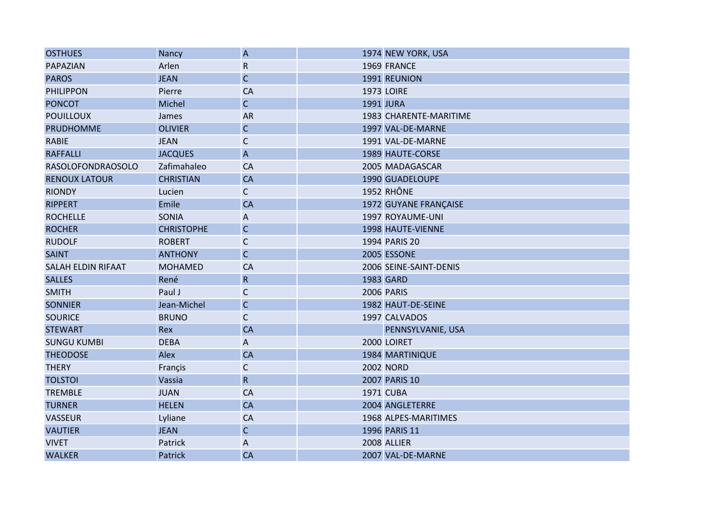| <b>OSTHUES</b>            | Nancy             | $\boldsymbol{\mathsf{A}}$ |                  | 1974 NEW YORK, USA     |
|---------------------------|-------------------|---------------------------|------------------|------------------------|
| PAPAZIAN                  | Arlen             | ${\sf R}$                 |                  | 1969 FRANCE            |
| <b>PAROS</b>              | <b>JEAN</b>       | $\mathsf C$               |                  | 1991 REUNION           |
| <b>PHILIPPON</b>          | Pierre            | CA                        |                  | <b>1973 LOIRE</b>      |
| <b>PONCOT</b>             | Michel            | $\mathsf{C}$              | <b>1991 JURA</b> |                        |
| <b>POUILLOUX</b>          | James             | <b>AR</b>                 |                  | 1983 CHARENTE-MARITIME |
| <b>PRUDHOMME</b>          | <b>OLIVIER</b>    | $\mathsf{C}$              |                  | 1997 VAL-DE-MARNE      |
| <b>RABIE</b>              | <b>JEAN</b>       | $\mathsf C$               |                  | 1991 VAL-DE-MARNE      |
| <b>RAFFALLI</b>           | <b>JACQUES</b>    | $\boldsymbol{\mathsf{A}}$ |                  | 1989 HAUTE-CORSE       |
| <b>RASOLOFONDRAOSOLO</b>  | Zafimahaleo       | CA                        |                  | 2005 MADAGASCAR        |
| <b>RENOUX LATOUR</b>      | <b>CHRISTIAN</b>  | CA                        |                  | 1990 GUADELOUPE        |
| <b>RIONDY</b>             | Lucien            | $\mathsf{C}$              |                  | 1952 RHÔNE             |
| <b>RIPPERT</b>            | Emile             | <b>CA</b>                 |                  | 1972 GUYANE FRANÇAISE  |
| <b>ROCHELLE</b>           | <b>SONIA</b>      | $\mathsf A$               |                  | 1997 ROYAUME-UNI       |
| <b>ROCHER</b>             | <b>CHRISTOPHE</b> | $\mathsf C$               |                  | 1998 HAUTE-VIENNE      |
| <b>RUDOLF</b>             | <b>ROBERT</b>     | C                         |                  | 1994 PARIS 20          |
| <b>SAINT</b>              | <b>ANTHONY</b>    | $\mathsf{C}$              |                  | 2005 ESSONE            |
| <b>SALAH ELDIN RIFAAT</b> | <b>MOHAMED</b>    | <b>CA</b>                 |                  | 2006 SEINE-SAINT-DENIS |
| <b>SALLES</b>             | René              | ${\sf R}$                 |                  | 1983 GARD              |
| <b>SMITH</b>              | Paul J            | $\mathsf C$               |                  | <b>2006 PARIS</b>      |
| <b>SONNIER</b>            | Jean-Michel       | $\mathsf C$               |                  | 1982 HAUT-DE-SEINE     |
| <b>SOURICE</b>            | <b>BRUNO</b>      | $\mathsf{C}$              |                  | 1997 CALVADOS          |
| <b>STEWART</b>            | Rex               | <b>CA</b>                 |                  | PENNSYLVANIE, USA      |
| <b>SUNGU KUMBI</b>        | <b>DEBA</b>       | A                         |                  | 2000 LOIRET            |
| <b>THEODOSE</b>           | Alex              | <b>CA</b>                 |                  | 1984 MARTINIQUE        |
| <b>THERY</b>              | Françis           | $\mathsf C$               |                  | <b>2002 NORD</b>       |
| <b>TOLSTOI</b>            | Vassia            | $\mathsf{R}$              |                  | 2007 PARIS 10          |
| <b>TREMBLE</b>            | <b>JUAN</b>       | <b>CA</b>                 |                  | <b>1971 CUBA</b>       |
| <b>TURNER</b>             | <b>HELEN</b>      | <b>CA</b>                 |                  | 2004 ANGLETERRE        |
| <b>VASSEUR</b>            | Lyliane           | CA                        |                  | 1968 ALPES-MARITIMES   |
| <b>VAUTIER</b>            | <b>JEAN</b>       | $\mathsf C$               |                  | 1996 PARIS 11          |
| <b>VIVET</b>              | Patrick           | ${\sf A}$                 |                  | 2008 ALLIER            |
| <b>WALKER</b>             | Patrick           | <b>CA</b>                 |                  | 2007 VAL-DE-MARNE      |